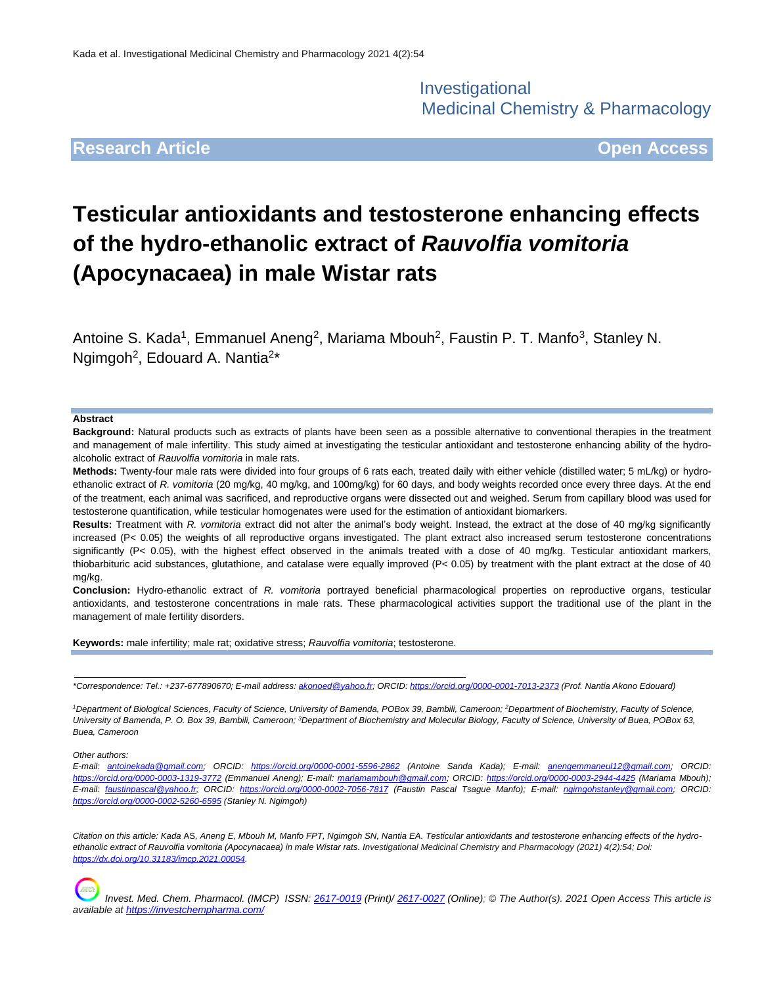Investigational Medicinal Chemistry & Pharmacology

## **Research Article Open Access**

# **Testicular antioxidants and testosterone enhancing effects of the hydro-ethanolic extract of** *Rauvolfia vomitoria* **(Apocynacaea) in male Wistar rats**

Antoine S. Kada<sup>1</sup>, Emmanuel Aneng<sup>2</sup>, Mariama Mbouh<sup>2</sup>, Faustin P. T. Manfo<sup>3</sup>, Stanley N. Ngimgoh<sup>2</sup>, Edouard A. Nantia<sup>2\*</sup>

#### **Abstract**

**Background:** Natural products such as extracts of plants have been seen as a possible alternative to conventional therapies in the treatment and management of male infertility. This study aimed at investigating the testicular antioxidant and testosterone enhancing ability of the hydroalcoholic extract of *Rauvolfia vomitoria* in male rats.

**Methods:** Twenty-four male rats were divided into four groups of 6 rats each, treated daily with either vehicle (distilled water; 5 mL/kg) or hydroethanolic extract of *R. vomitoria* (20 mg/kg, 40 mg/kg, and 100mg/kg) for 60 days, and body weights recorded once every three days. At the end of the treatment, each animal was sacrificed, and reproductive organs were dissected out and weighed. Serum from capillary blood was used for testosterone quantification, while testicular homogenates were used for the estimation of antioxidant biomarkers.

**Results:** Treatment with *R. vomitoria* extract did not alter the animal's body weight. Instead, the extract at the dose of 40 mg/kg significantly increased (P< 0.05) the weights of all reproductive organs investigated. The plant extract also increased serum testosterone concentrations significantly (P< 0.05), with the highest effect observed in the animals treated with a dose of 40 mg/kg. Testicular antioxidant markers, thiobarbituric acid substances, glutathione, and catalase were equally improved (P< 0.05) by treatment with the plant extract at the dose of 40 mg/kg.

**Conclusion:** Hydro-ethanolic extract of *R. vomitoria* portrayed beneficial pharmacological properties on reproductive organs, testicular antioxidants, and testosterone concentrations in male rats. These pharmacological activities support the traditional use of the plant in the management of male fertility disorders.

**Keywords:** male infertility; male rat; oxidative stress; *Rauvolfia vomitoria*; testosterone.

*\*Correspondence: Tel.: +237-677890670; E-mail address[: akonoed@yahoo.fr;](mailto:akonoed@yahoo.fr) ORCID[: https://orcid.org/0000-0001-7013-2373](https://orcid.org/0000-0001-7013-2373) (Prof. Nantia Akono Edouard)*

<sup>1</sup>*Department of Biological Sciences, Faculty of Science, University of Bamenda, POBox 39, Bambili, Cameroon; <sup>2</sup>Department of Biochemistry, Faculty of Science, University of Bamenda, P. O. Box 39, Bambili, Cameroon; <sup>3</sup>Department of Biochemistry and Molecular Biology, Faculty of Science, University of Buea, POBox 63, Buea, Cameroon*

*Other authors:*

*E-mail: [antoinekada@gmail.com;](mailto:antoinekada@gmail.com) ORCID: <https://orcid.org/0000-0001-5596-2862> (Antoine Sanda Kada); E-mail: [anengemmaneul12@gmail.com;](mailto:anengemmaneul12@gmail.com) ORCID: <https://orcid.org/0000-0003-1319-3772> (Emmanuel Aneng); E-mail: [mariamambouh@gmail.com;](mailto:mariamambouh@gmail.com) ORCID:<https://orcid.org/0000-0003-2944-4425> (Mariama Mbouh); E-mail: [faustinpascal@yahoo.fr;](mailto:faustinpascal@yahoo.fr) ORCID:<https://orcid.org/0000-0002-7056-7817> (Faustin Pascal Tsague Manfo); E-mail: [ngimgohstanley@gmail.com;](mailto:ngimgohstanley@gmail.com) ORCID: <https://orcid.org/0000-0002-5260-6595> (Stanley N. Ngimgoh)*

*Citation on this article: Kada* AS*, Aneng E, Mbouh M, Manfo FPT, Ngimgoh SN, Nantia EA. Testicular antioxidants and testosterone enhancing effects of the hydroethanolic extract of Rauvolfia vomitoria (Apocynacaea) in male Wistar rats. Investigational Medicinal Chemistry and Pharmacology (2021) 4(2):54; Doi: [https://dx.doi.org/10.31183/imcp.2021.00054.](https://dx.doi.org/10.31183/imcp.2021.00054)*

*Invest. Med. Chem. Pharmacol. (IMCP) ISSN: [2617-0019](https://portal.issn.org/resource/issn/2617-0019) (Print)/ [2617-0027](https://portal.issn.org/resource/issn/2617-0027) (Online); © The Author(s). 2021 Open Access This article is available a[t https://investchempharma.com/](https://investchempharma.com/)*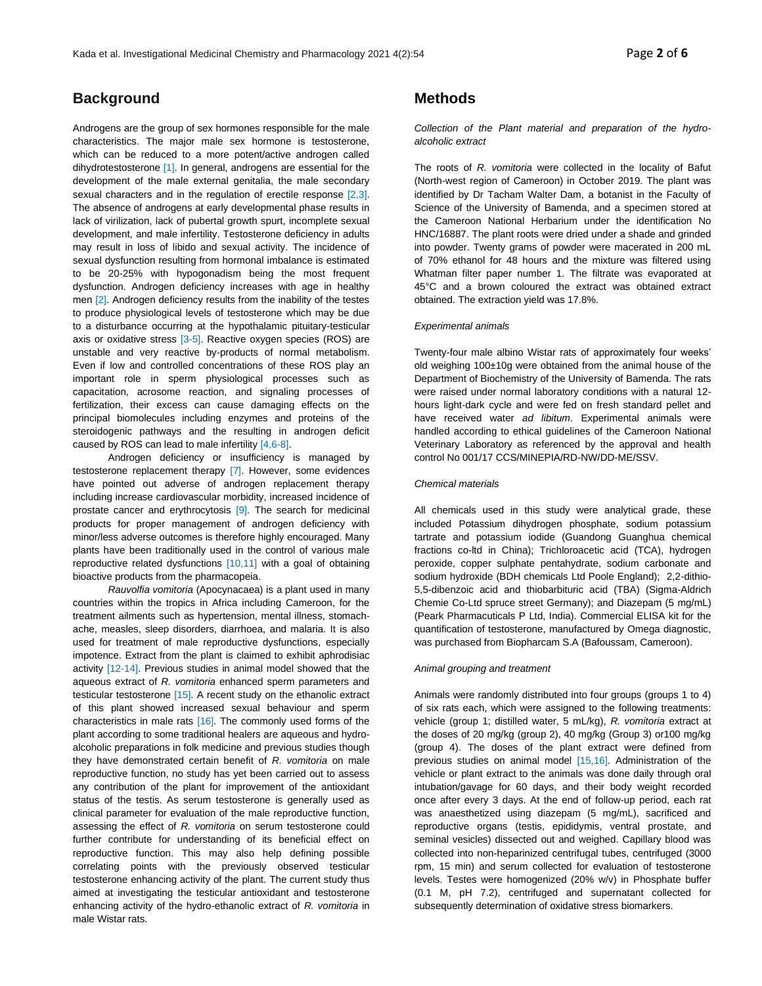## **Background**

Androgens are the group of sex hormones responsible for the male characteristics. The major male sex hormone is testosterone, which can be reduced to a more potent/active androgen called dihydrotestosterone [1]. In general, androgens are essential for the development of the male external genitalia, the male secondary sexual characters and in the regulation of erectile response [2,3]. The absence of androgens at early developmental phase results in lack of virilization, lack of pubertal growth spurt, incomplete sexual development, and male infertility. Testosterone deficiency in adults may result in loss of libido and sexual activity. The incidence of sexual dysfunction resulting from hormonal imbalance is estimated to be 20-25% with hypogonadism being the most frequent dysfunction. Androgen deficiency increases with age in healthy men [2]. Androgen deficiency results from the inability of the testes to produce physiological levels of testosterone which may be due to a disturbance occurring at the hypothalamic pituitary-testicular axis or oxidative stress [3-5]. Reactive oxygen species (ROS) are unstable and very reactive by-products of normal metabolism. Even if low and controlled concentrations of these ROS play an important role in sperm physiological processes such as capacitation, acrosome reaction, and signaling processes of fertilization, their excess can cause damaging effects on the principal biomolecules including enzymes and proteins of the steroidogenic pathways and the resulting in androgen deficit caused by ROS can lead to male infertility [4,6-8].

Androgen deficiency or insufficiency is managed by testosterone replacement therapy [7]. However, some evidences have pointed out adverse of androgen replacement therapy including increase cardiovascular morbidity, increased incidence of prostate cancer and erythrocytosis [9]. The search for medicinal products for proper management of androgen deficiency with minor/less adverse outcomes is therefore highly encouraged. Many plants have been traditionally used in the control of various male reproductive related dysfunctions [10,11] with a goal of obtaining bioactive products from the pharmacopeia.

*Rauvolfia vomitoria* (Apocynacaea) is a plant used in many countries within the tropics in Africa including Cameroon, for the treatment ailments such as hypertension, mental illness, stomachache, measles, sleep disorders, diarrhoea, and malaria. It is also used for treatment of male reproductive dysfunctions, especially impotence. Extract from the plant is claimed to exhibit aphrodisiac activity [12-14]. Previous studies in animal model showed that the aqueous extract of *R. vomitoria* enhanced sperm parameters and testicular testosterone [15]. A recent study on the ethanolic extract of this plant showed increased sexual behaviour and sperm characteristics in male rats [16]. The commonly used forms of the plant according to some traditional healers are aqueous and hydroalcoholic preparations in folk medicine and previous studies though they have demonstrated certain benefit of *R. vomitoria* on male reproductive function, no study has yet been carried out to assess any contribution of the plant for improvement of the antioxidant status of the testis. As serum testosterone is generally used as clinical parameter for evaluation of the male reproductive function, assessing the effect of *R. vomitoria* on serum testosterone could further contribute for understanding of its beneficial effect on reproductive function. This may also help defining possible correlating points with the previously observed testicular testosterone enhancing activity of the plant. The current study thus aimed at investigating the testicular antioxidant and testosterone enhancing activity of the hydro-ethanolic extract of *R. vomitoria* in male Wistar rats.

## **Methods**

*Collection of the Plant material and preparation of the hydroalcoholic extract*

The roots of *R. vomitoria* were collected in the locality of Bafut (North-west region of Cameroon) in October 2019. The plant was identified by Dr Tacham Walter Dam, a botanist in the Faculty of Science of the University of Bamenda, and a specimen stored at the Cameroon National Herbarium under the identification No HNC/16887. The plant roots were dried under a shade and grinded into powder. Twenty grams of powder were macerated in 200 mL of 70% ethanol for 48 hours and the mixture was filtered using Whatman filter paper number 1. The filtrate was evaporated at 45°C and a brown coloured the extract was obtained extract obtained. The extraction yield was 17.8%.

#### *Experimental animals*

Twenty-four male albino Wistar rats of approximately four weeks' old weighing 100±10g were obtained from the animal house of the Department of Biochemistry of the University of Bamenda. The rats were raised under normal laboratory conditions with a natural 12 hours light-dark cycle and were fed on fresh standard pellet and have received water *ad libitum*. Experimental animals were handled according to ethical guidelines of the Cameroon National Veterinary Laboratory as referenced by the approval and health control No 001/17 CCS/MINEPIA/RD-NW/DD-ME/SSV.

#### *Chemical materials*

All chemicals used in this study were analytical grade, these included Potassium dihydrogen phosphate, sodium potassium tartrate and potassium iodide (Guandong Guanghua chemical fractions co-ltd in China); Trichloroacetic acid (TCA), hydrogen peroxide, copper sulphate pentahydrate, sodium carbonate and sodium hydroxide (BDH chemicals Ltd Poole England); 2,2-dithio-5,5-dibenzoic acid and thiobarbituric acid (TBA) (Sigma-Aldrich Chemie Co-Ltd spruce street Germany); and Diazepam (5 mg/mL) (Peark Pharmacuticals P Ltd, India). Commercial ELISA kit for the quantification of testosterone, manufactured by Omega diagnostic, was purchased from Biopharcam S.A (Bafoussam, Cameroon).

#### *Animal grouping and treatment*

Animals were randomly distributed into four groups (groups 1 to 4) of six rats each, which were assigned to the following treatments: vehicle (group 1; distilled water, 5 mL/kg), *R. vomitoria* extract at the doses of 20 mg/kg (group 2), 40 mg/kg (Group 3) or100 mg/kg (group 4). The doses of the plant extract were defined from previous studies on animal model [15,16]. Administration of the vehicle or plant extract to the animals was done daily through oral intubation/gavage for 60 days, and their body weight recorded once after every 3 days. At the end of follow-up period, each rat was anaesthetized using diazepam (5 mg/mL), sacrificed and reproductive organs (testis, epididymis, ventral prostate, and seminal vesicles) dissected out and weighed. Capillary blood was collected into non-heparinized centrifugal tubes, centrifuged (3000 rpm, 15 min) and serum collected for evaluation of testosterone levels. Testes were homogenized (20% w/v) in Phosphate buffer (0.1 M, pH 7.2), centrifuged and supernatant collected for subsequently determination of oxidative stress biomarkers.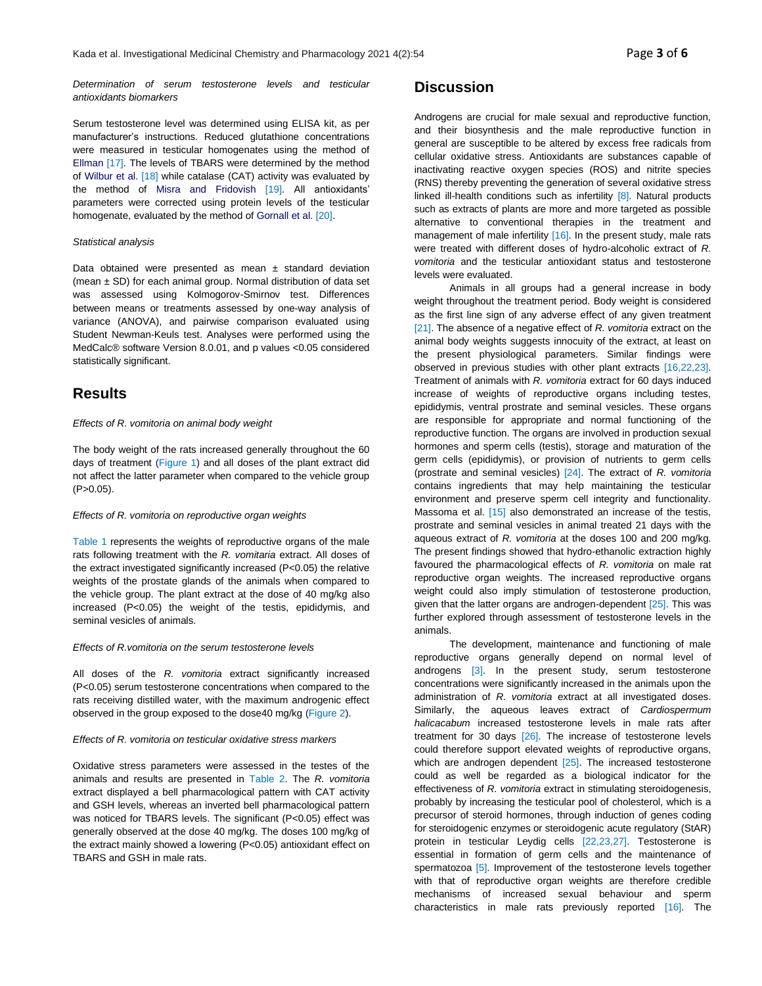*Determination of serum testosterone levels and testicular antioxidants biomarkers*

Serum testosterone level was determined using ELISA kit, as per manufacturer's instructions. Reduced glutathione concentrations were measured in testicular homogenates using the method of Ellman [17]. The levels of TBARS were determined by the method of Wilbur et al. [18] while catalase (CAT) activity was evaluated by the method of Misra and Fridovish [19]. All antioxidants' parameters were corrected using protein levels of the testicular homogenate, evaluated by the method of Gornall et al. [20].

#### *Statistical analysis*

Data obtained were presented as mean  $\pm$  standard deviation (mean  $\pm$  SD) for each animal group. Normal distribution of data set was assessed using Kolmogorov-Smirnov test. Differences between means or treatments assessed by one-way analysis of variance (ANOVA), and pairwise comparison evaluated using Student Newman-Keuls test. Analyses were performed using the MedCalc® software Version 8.0.01, and p values <0.05 considered statistically significant.

## **Results**

#### *Effects of R. vomitoria on animal body weight*

The body weight of the rats increased generally throughout the 60 days of treatment (Figure 1) and all doses of the plant extract did not affect the latter parameter when compared to the vehicle group  $(P>0.05)$ .

#### *Effects of R. vomitoria on reproductive organ weights*

Table 1 represents the weights of reproductive organs of the male rats following treatment with the *R. vomitaria* extract. All doses of the extract investigated significantly increased (P<0.05) the relative weights of the prostate glands of the animals when compared to the vehicle group. The plant extract at the dose of 40 mg/kg also increased (P<0.05) the weight of the testis, epididymis, and seminal vesicles of animals.

#### *Effects of R.vomitoria on the serum testosterone levels*

All doses of the *R. vomitoria* extract significantly increased (P<0.05) serum testosterone concentrations when compared to the rats receiving distilled water, with the maximum androgenic effect observed in the group exposed to the dose40 mg/kg (Figure 2).

#### *Effects of R. vomitoria on testicular oxidative stress markers*

Oxidative stress parameters were assessed in the testes of the animals and results are presented in Table 2. The *R. vomitoria*  extract displayed a bell pharmacological pattern with CAT activity and GSH levels, whereas an inverted bell pharmacological pattern was noticed for TBARS levels. The significant (P<0.05) effect was generally observed at the dose 40 mg/kg. The doses 100 mg/kg of the extract mainly showed a lowering (P<0.05) antioxidant effect on TBARS and GSH in male rats.

## **Discussion**

Androgens are crucial for male sexual and reproductive function, and their biosynthesis and the male reproductive function in general are susceptible to be altered by excess free radicals from cellular oxidative stress. Antioxidants are substances capable of inactivating reactive oxygen species (ROS) and nitrite species (RNS) thereby preventing the generation of several oxidative stress linked ill-health conditions such as infertility [8]. Natural products such as extracts of plants are more and more targeted as possible alternative to conventional therapies in the treatment and management of male infertility [16]. In the present study, male rats were treated with different doses of hydro-alcoholic extract of *R. vomitoria* and the testicular antioxidant status and testosterone levels were evaluated.

Animals in all groups had a general increase in body weight throughout the treatment period. Body weight is considered as the first line sign of any adverse effect of any given treatment [21]. The absence of a negative effect of *R. vomitoria* extract on the animal body weights suggests innocuity of the extract, at least on the present physiological parameters. Similar findings were observed in previous studies with other plant extracts [16,22,23]. Treatment of animals with *R. vomitoria* extract for 60 days induced increase of weights of reproductive organs including testes, epididymis, ventral prostrate and seminal vesicles. These organs are responsible for appropriate and normal functioning of the reproductive function. The organs are involved in production sexual hormones and sperm cells (testis), storage and maturation of the germ cells (epididymis), or provision of nutrients to germ cells (prostrate and seminal vesicles) [24]. The extract of *R. vomitoria* contains ingredients that may help maintaining the testicular environment and preserve sperm cell integrity and functionality. Massoma et al. [15] also demonstrated an increase of the testis, prostrate and seminal vesicles in animal treated 21 days with the aqueous extract of *R. vomitoria* at the doses 100 and 200 mg/kg. The present findings showed that hydro-ethanolic extraction highly favoured the pharmacological effects of *R. vomitoria* on male rat reproductive organ weights. The increased reproductive organs weight could also imply stimulation of testosterone production, given that the latter organs are androgen-dependent [25]. This was further explored through assessment of testosterone levels in the animals.

The development, maintenance and functioning of male reproductive organs generally depend on normal level of androgens [3]. In the present study, serum testosterone concentrations were significantly increased in the animals upon the administration of *R. vomitoria* extract at all investigated doses. Similarly, the aqueous leaves extract of *Cardiospermum halicacabum* increased testosterone levels in male rats after treatment for 30 days [26]. The increase of testosterone levels could therefore support elevated weights of reproductive organs, which are androgen dependent [25]. The increased testosterone could as well be regarded as a biological indicator for the effectiveness of *R. vomitoria* extract in stimulating steroidogenesis, probably by increasing the testicular pool of cholesterol, which is a precursor of steroid hormones, through induction of genes coding for steroidogenic enzymes or steroidogenic acute regulatory (StAR) protein in testicular Leydig cells [22,23,27]. Testosterone is essential in formation of germ cells and the maintenance of spermatozoa [5]. Improvement of the testosterone levels together with that of reproductive organ weights are therefore credible mechanisms of increased sexual behaviour and sperm characteristics in male rats previously reported [16]. The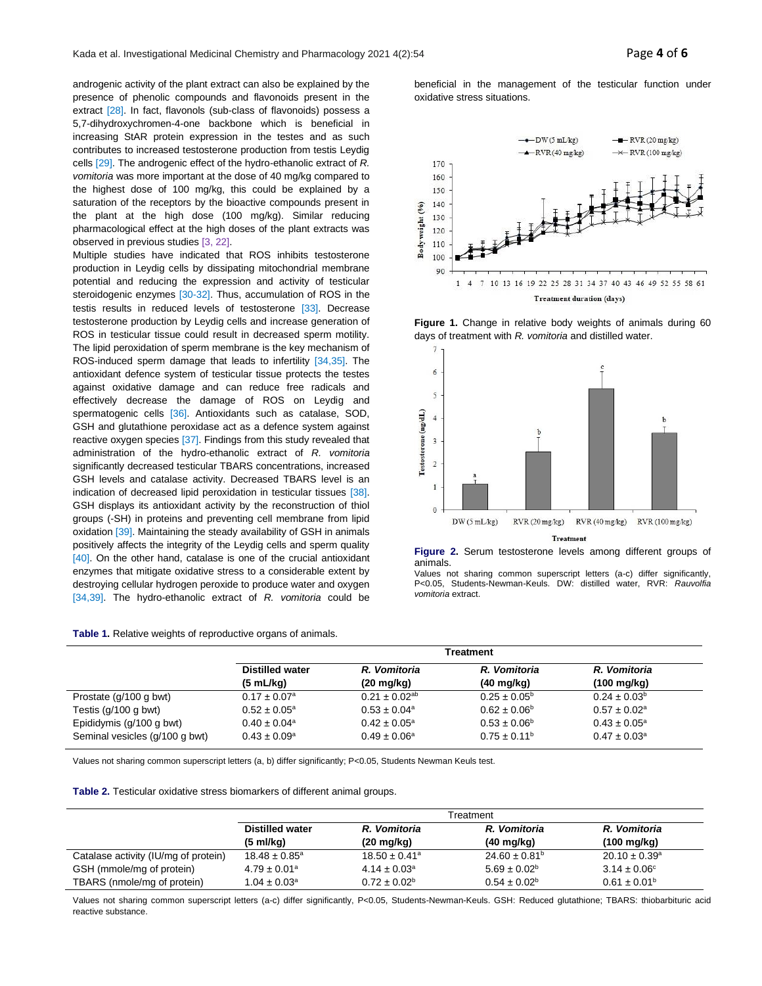androgenic activity of the plant extract can also be explained by the presence of phenolic compounds and flavonoids present in the extract [28]. In fact, flavonols (sub-class of flavonoids) possess a 5,7-dihydroxychromen-4-one backbone which is beneficial in increasing StAR protein expression in the testes and as such contributes to increased testosterone production from testis Leydig cells [29]. The androgenic effect of the hydro-ethanolic extract of *R. vomitoria* was more important at the dose of 40 mg/kg compared to the highest dose of 100 mg/kg, this could be explained by a saturation of the receptors by the bioactive compounds present in the plant at the high dose (100 mg/kg). Similar reducing pharmacological effect at the high doses of the plant extracts was observed in previous studies [3, 22].

Multiple studies have indicated that ROS inhibits testosterone production in Leydig cells by dissipating mitochondrial membrane potential and reducing the expression and activity of testicular steroidogenic enzymes [30-32]. Thus, accumulation of ROS in the testis results in reduced levels of testosterone [33]. Decrease testosterone production by Leydig cells and increase generation of ROS in testicular tissue could result in decreased sperm motility. The lipid peroxidation of sperm membrane is the key mechanism of ROS-induced sperm damage that leads to infertility [34,35]. The antioxidant defence system of testicular tissue protects the testes against oxidative damage and can reduce free radicals and effectively decrease the damage of ROS on Leydig and spermatogenic cells [36]. Antioxidants such as catalase, SOD, GSH and glutathione peroxidase act as a defence system against reactive oxygen species [37]. Findings from this study revealed that administration of the hydro-ethanolic extract of *R. vomitoria*  significantly decreased testicular TBARS concentrations, increased GSH levels and catalase activity. Decreased TBARS level is an indication of decreased lipid peroxidation in testicular tissues [38]. GSH displays its antioxidant activity by the reconstruction of thiol groups (-SH) in proteins and preventing cell membrane from lipid oxidation [39]. Maintaining the steady availability of GSH in animals positively affects the integrity of the Leydig cells and sperm quality  $[40]$ . On the other hand, catalase is one of the crucial antioxidant enzymes that mitigate oxidative stress to a considerable extent by destroying cellular hydrogen peroxide to produce water and oxygen [34,39]. The hydro-ethanolic extract of *R. vomitoria* could be

#### **Table 1.** Relative weights of reproductive organs of animals.

beneficial in the management of the testicular function under oxidative stress situations.



**Figure 1.** Change in relative body weights of animals during 60 days of treatment with *R. vomitoria* and distilled water.



**Figure 2.** Serum testosterone levels among different groups of animals.

Values not sharing common superscript letters (a-c) differ significantly, P<0.05, Students-Newman-Keuls. DW: distilled water, RVR: *Rauvolfia vomitoria* extract.

|                                | Treatment                    |                         |                         |                              |  |  |
|--------------------------------|------------------------------|-------------------------|-------------------------|------------------------------|--|--|
|                                | <b>Distilled water</b>       | R. Vomitoria            | R. Vomitoria            | R. Vomitoria                 |  |  |
|                                | (5 mL/kg)                    | $(20 \text{ mg/kg})$    | $(40 \text{ mg/kg})$    | $(100 \text{ mg/kg})$        |  |  |
| Prostate (g/100 g bwt)         | $0.17 \pm 0.07$ <sup>a</sup> | $0.21 \pm 0.02^{ab}$    | $0.25 \pm 0.05^{\circ}$ | $0.24 \pm 0.03^b$            |  |  |
| Testis $(q/100 q)$ bwt)        | $0.52 \pm 0.05^{\circ}$      | $0.53 \pm 0.04^{\circ}$ | $0.62 \pm 0.06^{\circ}$ | $0.57 \pm 0.02$ <sup>a</sup> |  |  |
| Epididymis (g/100 g bwt)       | $0.40 \pm 0.04$ <sup>a</sup> | $0.42 \pm 0.05^{\circ}$ | $0.53 \pm 0.06^{\circ}$ | $0.43 \pm 0.05^{\circ}$      |  |  |
| Seminal vesicles (q/100 q bwt) | $0.43 \pm 0.09^{\circ}$      | $0.49 \pm 0.06^a$       | $0.75 \pm 0.11^{\circ}$ | $0.47 \pm 0.03$ <sup>a</sup> |  |  |

Values not sharing common superscript letters (a, b) differ significantly; P<0.05, Students Newman Keuls test.

|  |  |  |  | Table 2. Testicular oxidative stress biomarkers of different animal groups. |  |  |  |  |  |
|--|--|--|--|-----------------------------------------------------------------------------|--|--|--|--|--|
|--|--|--|--|-----------------------------------------------------------------------------|--|--|--|--|--|

|                                      | Treatment                    |                               |                               |                          |  |  |
|--------------------------------------|------------------------------|-------------------------------|-------------------------------|--------------------------|--|--|
|                                      | <b>Distilled water</b>       | R. Vomitoria                  | R. Vomitoria                  | R. Vomitoria             |  |  |
|                                      | $(5 \text{ mI/kg})$          | $(20 \text{ mq/kg})$          | $(40 \text{ mg/kg})$          | $(100 \text{ mg/kg})$    |  |  |
| Catalase activity (IU/mg of protein) | $18.48 \pm 0.85^{\circ}$     | $18.50 \pm 0.41$ <sup>a</sup> | $24.60 \pm 0.81$ <sup>b</sup> | $20.10 \pm 0.39^{\circ}$ |  |  |
| GSH (mmole/mg of protein)            | $4.79 \pm 0.01$ <sup>a</sup> | $4.14 \pm 0.03$ <sup>a</sup>  | $5.69 \pm 0.02^b$             | $3.14 \pm 0.06^{\circ}$  |  |  |
| TBARS (nmole/mg of protein)          | $1.04 \pm 0.03$ <sup>a</sup> | $0.72 \pm 0.02^b$             | $0.54 \pm 0.02^b$             | $0.61 \pm 0.01^{\circ}$  |  |  |

Values not sharing common superscript letters (a-c) differ significantly, P<0.05, Students-Newman-Keuls. GSH: Reduced glutathione; TBARS: thiobarbituric acid reactive substance.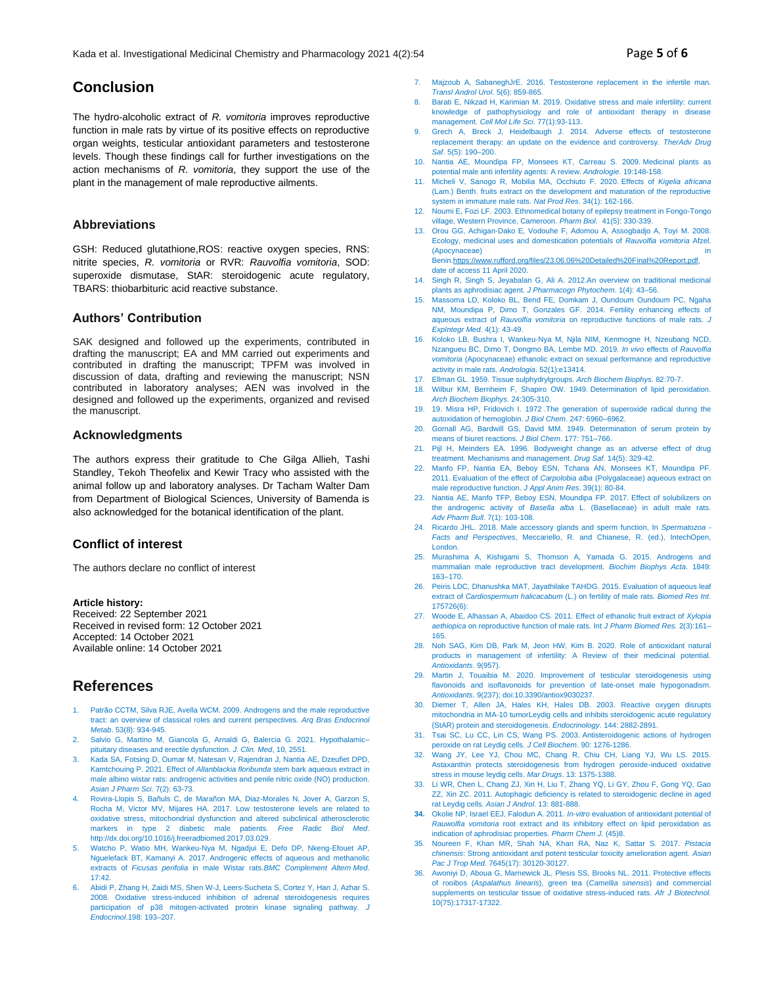## **Conclusion**

The hydro-alcoholic extract of *R. vomitoria* improves reproductive function in male rats by virtue of its positive effects on reproductive organ weights, testicular antioxidant parameters and testosterone levels. Though these findings call for further investigations on the action mechanisms of *R. vomitoria*, they support the use of the plant in the management of male reproductive ailments.

## **Abbreviations**

GSH: Reduced glutathione,ROS: reactive oxygen species, RNS: nitrite species, *R. vomitoria* or RVR: *Rauvolfia vomitoria*, SOD: superoxide dismutase, StAR: steroidogenic acute regulatory, TBARS: thiobarbituric acid reactive substance.

#### **Authors' Contribution**

SAK designed and followed up the experiments, contributed in drafting the manuscript; EA and MM carried out experiments and contributed in drafting the manuscript; TPFM was involved in discussion of data, drafting and reviewing the manuscript; NSN contributed in laboratory analyses; AEN was involved in the designed and followed up the experiments, organized and revised the manuscript.

#### **Acknowledgments**

The authors express their gratitude to Che Gilga Allieh, Tashi Standley, Tekoh Theofelix and Kewir Tracy who assisted with the animal follow up and laboratory analyses. Dr Tacham Walter Dam from Department of Biological Sciences, University of Bamenda is also acknowledged for the botanical identification of the plant.

## **Conflict of interest**

The authors declare no conflict of interest

#### **Article history:**

Received: 22 September 2021 Received in revised form: 12 October 2021 Accepted: 14 October 2021 Available online: 14 October 2021

## **References**

- Patrão CCTM, Silva RJE, Avella WCM. 2009. Androgens and the male reproductive tract: an overview of classical roles and current perspectives. *Arq Bras Endocrinol Metab*. 53(8): 934-945.
- 2. Salvio G, Martino M, Giancola G, Arnaldi G, Balercia G. 2021. Hypothalamic– pituitary diseases and erectile dysfunction. *J. Clin. Med*, 10, 2551.
- 3. Kada SA, Fotsing D, Oumar M, Natesan V, Rajendran J, Nantia AE, Dzeufiet DPD, Kamtchouing P. 2021. Effect of *Allanblackia floribunda* stem bark aqueous extract in male albino wistar rats: androgenic activities and penile nitric oxide (NO) production. *Asian J Pharm Sci*. 7(2): 63-73.
- 4. Rovira-Llopis S, Bañuls C, de Marañon MA, Diaz-Morales N, Jover A, Garzon S, Rocha M, Victor MV, Mijares HA. 2017. Low testosterone levels are related to oxidative stress, mitochondrial dysfunction and altered subclinical atherosclerotic markers in type 2 diabetic male patients. *Free Radic Biol Med*. http://dx.doi.org/10.1016/j.freeradbiomed.2017.03.029.
- 5. Watcho P, Watio MH, Wankeu-Nya M, Ngadjui E, Defo DP, Nkeng-Efouet AP, Nguelefack BT, Kamanyi A. 2017. Androgenic effects of aqueous and methanolic extracts of *Ficusas perifolia* in male Wistar rats.*BMC Complement Altern Med*. 17:42.
- 6. Abidi P, Zhang H, Zaidi MS, Shen W-J, Leers-Sucheta S, Cortez Y, Han J, Azhar S. 2008. Oxidative stress-induced inhibition of adrenal steroidogenesis requires participation of p38 mitogen-activated protein kinase signaling pathway. *J Endocrinol*.198: 193–207.
- 7. Majzoub A, SabaneghJrE. 2016. Testosterone replacement in the infertile man. *Transl Androl Urol*. 5(6): 859-865.
- 8. Barati E, Nikzad H, Karimian M. 2019. Oxidative stress and male infertility: current knowledge of pathophysiology and role of antioxidant therapy in disease management. *Cell Mol Life Sci*. 77(1):93-113.
- Grech A, Breck J, Heidelbaugh J. 2014. Adverse effects of testosterone replacement therapy: an update on the evidence and controversy. *TherAdv Drug Saf*. 5(5): 190–200.
- 10. Nantia AE, Moundipa FP, Monsees KT, Carreau S. 2009. Medicinal plants as potential male anti infertility agents: A review. *Andrologie*. 19:148-158.
- 11. Micheli V, Sanogo R, Mobilia MA, Occhiuto F. 2020. Effects of *Kigelia africana* (Lam.) Benth. fruits extract on the development and maturation of the reproductive system in immature male rats. *Nat Prod Res*. 34(1): 162-166.
- 12. Noumi E, Fozi LF. 2003. Ethnomedical botany of epilepsy treatment in Fongo-Tongo village, Western Province, Cameroon. *Pharm Biol*. 41(5): 330-339.
- 13. Orou GG, Achigan-Dako E, Vodouhe F, Adomou A, Assogbadjo A, Toyi M. 2008. Ecology, medicinal uses and domestication potentials of *Rauvolfia vomitoria* Afzel. (Apocynaceae) Beni[n.https://www.rufford.org/files/23.06.06%20Detailed%20Final%20Report.pdf,](https://www.rufford.org/files/23.06.06%20Detailed%20Final%20Report.pdf)  date of access 11 April 2020.
- 14. Singh R, Singh S, Jeyabalan G, Ali A. 2012.An overview on traditional medicinal plants as aphrodisiac agent. *J Pharmacogn Phytochem*. 1(4): 43–56.
- 15. Massoma LD, Koloko BL, Bend FE, Domkam J, Oundoum Oundoum PC, Ngaha NM, Moundipa P, Dimo T, Gonzales GF. 2014. Fertility enhancing effects of aqueous extract of *Rauvolfia vomitoria* on reproductive functions of male rats. *J ExpIntegr Med*. 4(1): 43-49.
- 16. Koloko LB, Bushra I, Wankeu‐Nya M, Njila NIM, Kenmogne H, Nzeubang NCD, Nzangueu BC, Dimo T, Dongmo BA, Lembe MD. 2019. *In vivo* effects of *Rauvolfia vomitoria* (Apocynaceae) ethanolic extract on sexual performance and reproductive activity in male rats. *Andrologia*. 52(1):e13414.
- 17. Ellman GL. 1959. Tissue sulphydrylgroups. *Arch Biochem Biophys*. 82:70-7.
- 18. Wilbur KM, Bernheim F, Shapiro OW. 1949. Determination of lipid peroxidation. *Arch Biochem Biophys*. 24:305-310.
- 19. 19. Misra HP, Fridovich I. 1972 .The generation of superoxide radical during the autoxidation of hemoglobin. *J Biol Chem*. 247: 6960–6962.
- 20. Gornall AG, Bardwill GS, David MM. 1949. Determination of serum protein by means of biuret reactions. *J Biol Chem*. 177: 751–766.
- 21. Pijl H, Meinders EA. 1996. Bodyweight change as an adverse effect of drug treatment. Mechanisms and management. *Drug Saf*. 14(5): 329-42.
- 22. Manfo FP, Nantia EA, Beboy ESN, Tchana AN, Monsees KT, Moundipa PF. 2011. Evaluation of the effect of *Carpolobia alba* (Polygalaceae) aqueous extract on male reproductive function. *J Appl Anim Res*. 39(1): 80-84.
- 23. Nantia AE, Manfo TFP, Beboy ESN, Moundipa FP. 2017. Effect of solubilizers on the androgenic activity of *Basella alba* L. (Basellaceae) in adult male rats. *Adv Pharm Bull*. 7(1): 103-108.
- 24. Ricardo JHL. 2018. Male accessory glands and sperm function, In *Spermatozoa - Facts and Perspectives*, Meccariello, R. and Chianese, R. (ed.), IntechOpen, London.
- 25. Murashima A, Kishigami S, Thomson A, Yamada G. 2015. Androgens and mammalian male reproductive tract development. *Biochim Biophys Acta*. 1849: 163–170.
- 26. Peiris LDC, Dhanushka MAT, Jayathilake TAHDG. 2015. Evaluation of aqueous leaf extract of *Cardiospermum halicacabum* (L.) on fertility of male rats. *Biomed Res Int*. 175726(6):
- 27. Woode E, Alhassan A, Abaidoo CS. 2011. Effect of ethanolic fruit extract of *Xylopia aethiopica* on reproductive function of male rats. Int *J Pharm Biomed Res.* 2(3):161– 165.
- 28. Noh SAG, Kim DB, Park M, Jeon HW, Kim B. 2020. Role of antioxidant natural products in management of infertility: A Review of their medicinal potential. *Antioxidants*. 9(957).
- 29. Martin J, Touaibia M. 2020. Improvement of testicular steroidogenesis using flavonoids and isoflavonoids for prevention of late-onset male hypogonadism. *Antioxidants*. 9(237); doi:10.3390/antiox9030237.
- 30. Diemer T, Allen JA, Hales KH, Hales DB. 2003. Reactive oxygen disrupts mitochondria in MA-10 tumorLeydig cells and inhibits steroidogenic acute regulatory (StAR) protein and steroidogenesis. *Endocrinology*. 144: 2882-2891.
- 31. Tsai SC, Lu CC, Lin CS, Wang PS. 2003. Antisteroidogenic actions of hydrogen peroxide on rat Leydig cells. *J Cell Biochem*. 90: 1276-1286.
- 32. Wang JY, Lee YJ, Chou MC, Chang R, Chiu CH, Liang YJ, Wu LS. 2015. Astaxanthin protects steroidogenesis from hydrogen peroxide-induced oxidative stress in mouse leydig cells. *Mar Drugs*. 13: 1375-1388.
- 33. Li WR, Chen L, Chang ZJ, Xin H, Liu T, Zhang YQ, Li GY, Zhou F, Gong YQ, Gao ZZ, Xin ZC. 2011. Autophagic deficiency is related to steroidogenic decline in aged rat Leydig cells. *Asian J Androl*. 13: 881-888.
- **34.** Okolie NP, Israel EEJ, Falodun A. 2011. *In-vitro* evaluation of antioxidant potential of *Rauwolfia vomitoria* root extract and its inhibitory effect on lipid peroxidation as indication of aphrodisiac properties. *Pharm Chem J.* (45)8.
- 35. Noureen F, Khan MR, Shah NA, Khan RA, Naz K, Sattar S. 2017. *Pistacia chinensis*: Strong antioxidant and potent testicular toxicity amelioration agent. *Asian Pac J Trop Med.* 7645(17): 30120-30127.
- 36. Awoniyi D, Aboua G, Marnewick JL, Plesis SS, Brooks NL. 2011. Protective effects of rooibos (*Aspalathus linearis*), green tea (*Camellia sinensis*) and commercial supplements on testicular tissue of oxidative stress-induced rats. *Afr J Biotechnol.* 10(75):17317-17322.